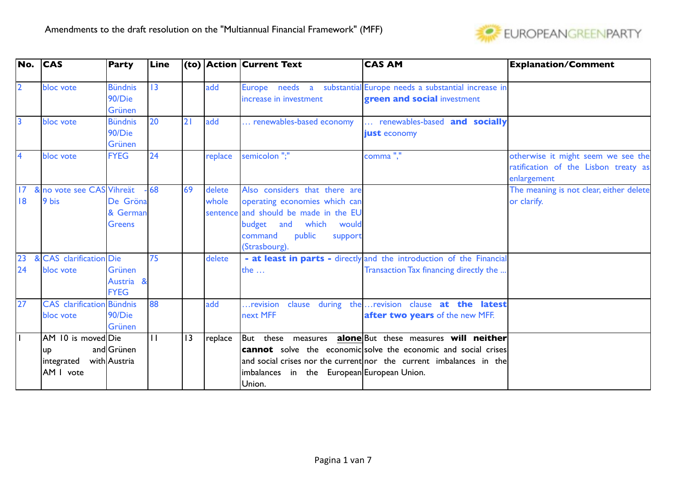

|                 | No. CAS                          | <b>Party</b>   | Line  |    |             | $ $ (to) $ $ Action $ $ Current Text       | <b>CAS AM</b>                                                         | <b>Explanation/Comment</b>              |
|-----------------|----------------------------------|----------------|-------|----|-------------|--------------------------------------------|-----------------------------------------------------------------------|-----------------------------------------|
| $\overline{2}$  | bloc vote                        | <b>Bündnis</b> | 13    |    | add         |                                            | Europe needs a substantial Europe needs a substantial increase in     |                                         |
|                 |                                  | 90/Die         |       |    |             | increase in investment                     | green and social investment                                           |                                         |
|                 |                                  | Grünen         |       |    |             |                                            |                                                                       |                                         |
| $\overline{3}$  | bloc vote                        | <b>Bündnis</b> | 20    | 2  | ladd        | renewables-based economy                   | renewables-based and socially                                         |                                         |
|                 |                                  | 90/Die         |       |    |             |                                            | just economy                                                          |                                         |
|                 |                                  | <b>Grünen</b>  |       |    |             |                                            |                                                                       |                                         |
| $\overline{4}$  | bloc vote                        | <b>FYEG</b>    | 24    |    | replace     | semicolon";"                               | comma","                                                              | otherwise it might seem we see the      |
|                 |                                  |                |       |    |             |                                            |                                                                       | ratification of the Lisbon treaty as    |
|                 |                                  |                |       |    |             |                                            |                                                                       | enlargement                             |
| 17 <sup>°</sup> | & no vote see CAS Vihreät        |                | $-68$ | 69 | delete      | Also considers that there are              |                                                                       | The meaning is not clear, either delete |
| 8               | 9 bis                            | De Gröna       |       |    | whole       | operating economies which can              |                                                                       | or clarify.                             |
|                 |                                  | & German       |       |    | sentence    | and should be made in the EU               |                                                                       |                                         |
|                 |                                  | <b>Greens</b>  |       |    |             | budget and which would                     |                                                                       |                                         |
|                 |                                  |                |       |    |             | public<br>command<br>support               |                                                                       |                                         |
|                 |                                  |                |       |    |             | (Strasbourg).                              |                                                                       |                                         |
| $\overline{23}$ | & CAS clarification Die          |                | 75    |    | delete      |                                            | - at least in parts - directly and the introduction of the Financial  |                                         |
| 24              | bloc vote                        | <b>Grünen</b>  |       |    |             | the $\dots$                                | Transaction Tax financing directly the                                |                                         |
|                 |                                  | Austria &      |       |    |             |                                            |                                                                       |                                         |
|                 |                                  | <b>FYEG</b>    |       |    |             |                                            |                                                                       |                                         |
| $\overline{27}$ | <b>CAS</b> clarification Bündnis |                | 88    |    | add         | revision                                   | clause during the  revision clause at the latest                      |                                         |
|                 | bloc vote                        | 90/Die         |       |    |             | next MFF                                   | after two years of the new MFF.                                       |                                         |
|                 |                                  | Grünen         |       |    |             |                                            |                                                                       |                                         |
|                 | AM 10 is movedDie                |                | П     | 13 | $ $ replace |                                            | But these measures alone But these measures will neither              |                                         |
|                 | up                               | and Grünen     |       |    |             |                                            | <b>cannot</b> solve the economic solve the economic and social crises |                                         |
|                 | integrated                       | with Austria   |       |    |             |                                            | and social crises nor the current nor the current imbalances in the   |                                         |
|                 | AM I vote                        |                |       |    |             | imbalances in the European European Union. |                                                                       |                                         |
|                 |                                  |                |       |    |             | Union.                                     |                                                                       |                                         |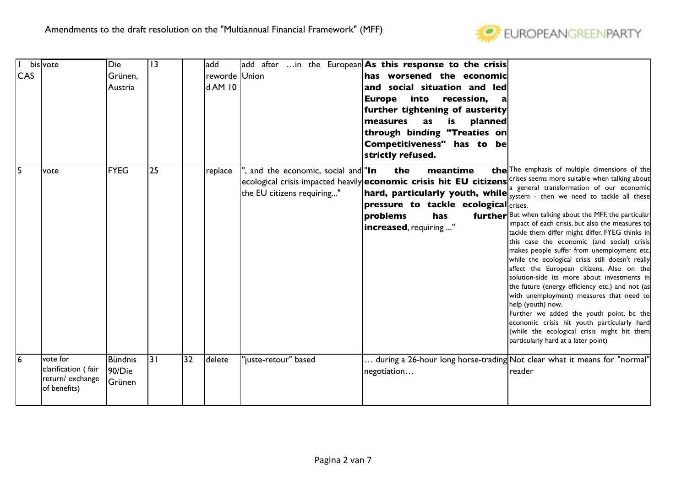

| <b>CAS</b>     | bisvote                                                            | Die<br>Grünen,<br> Austria         | 3  | add<br>d AM 10 | reworde Union                                                    | add after in the European As this response to the crisis<br>has worsened the economic<br>and social situation and led<br>into<br><b>Europe</b><br>recession,<br>further tightening of austerity<br>measures<br>planned<br>as<br>is<br>through binding "Treaties on<br>Competitiveness" has to be<br>strictly refused.                                       |                                                                                                                                                                                                                                                                                                                                                                                                                                                                                                                                                                                                                                                                                                                                                                                                             |
|----------------|--------------------------------------------------------------------|------------------------------------|----|----------------|------------------------------------------------------------------|-------------------------------------------------------------------------------------------------------------------------------------------------------------------------------------------------------------------------------------------------------------------------------------------------------------------------------------------------------------|-------------------------------------------------------------------------------------------------------------------------------------------------------------------------------------------------------------------------------------------------------------------------------------------------------------------------------------------------------------------------------------------------------------------------------------------------------------------------------------------------------------------------------------------------------------------------------------------------------------------------------------------------------------------------------------------------------------------------------------------------------------------------------------------------------------|
| 5              | vote                                                               | <b>FYEG</b>                        | 25 | replace        | , and the economic, social and "In<br>the EU citizens requiring" | meantime<br>the<br>$ $ ecological crisis impacted heavily $ $ economic crisis hit EU citizens $ $ <sup>crises seems more suitable when talking about<math> </math></sup><br>hard, particularly youth, while system - then we need to tackle all these<br>$ $ pressure to tackle ecological $ $ crises.<br>problems<br>has<br><b>increased</b> , requiring " | the The emphasis of multiple dimensions of the<br>a general transformation of our economic<br>further But when talking about the MFF, the particular<br>impact of each crisis, but also the measures to<br>tackle them differ might differ. FYEG thinks in<br>this case the economic (and social) crisis<br>makes people suffer from unemployment etc.<br>while the ecological crisis still doesn't really<br>affect the European citizens. Also on the<br>solution-side its more about investments in<br>the future (energy efficiency etc.) and not (as<br>with unemployment) measures that need to<br>help (youth) now.<br>Further we added the youth point, bc the<br>economic crisis hit youth particularly hard<br>(while the ecological crisis might hit them<br>particularly hard at a later point) |
| $\overline{6}$ | vote for<br>clarification (fair<br>return/exchange<br>of benefits) | Bündnis<br>90/Die<br><b>Grünen</b> | 31 | 32<br>delete   | 'juste-retour" based                                             | negotiation                                                                                                                                                                                                                                                                                                                                                 | $\ldots$ during a 26-hour long horse-trading $\mathsf{Not}$ clear what it means for "normal"<br>reader                                                                                                                                                                                                                                                                                                                                                                                                                                                                                                                                                                                                                                                                                                      |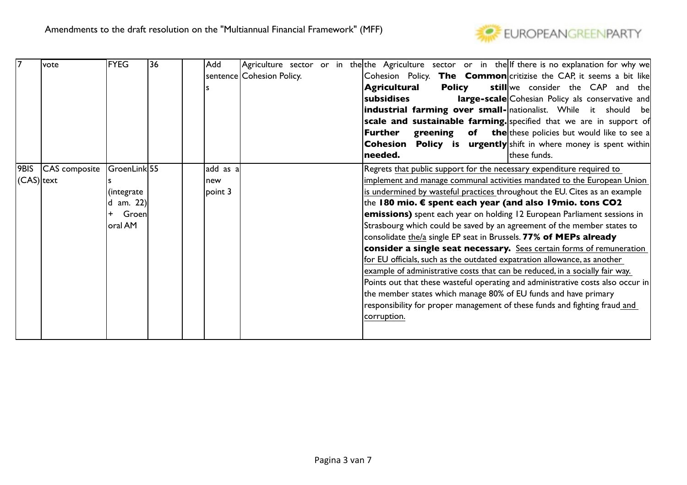

|               | lvote              | <b>FYEG</b>           | 36 | Add     |           |                           |  | Agriculture sector or in the the Agriculture sector or in the If there is no explanation for why we |
|---------------|--------------------|-----------------------|----|---------|-----------|---------------------------|--|-----------------------------------------------------------------------------------------------------|
|               |                    |                       |    |         |           | sentence Cohesion Policy. |  | Cohesion Policy. The Common critizise the CAP, it seems a bit like                                  |
|               |                    |                       |    |         |           |                           |  | Agricultural<br><b>Policy</b><br>still we consider the CAP and the                                  |
|               |                    |                       |    |         |           |                           |  | <b>large-scale</b> Cohesian Policy als conservative and<br>subsidises                               |
|               |                    |                       |    |         |           |                           |  | industrial farming over small- nationalist. While it should be                                      |
|               |                    |                       |    |         |           |                           |  | scale and sustainable farming. specified that we are in support of                                  |
|               |                    |                       |    |         |           |                           |  | <b>greening</b> of the these policies but would like to see a<br>Further                            |
|               |                    |                       |    |         |           |                           |  | <b>Cohesion</b> Policy is urgently shift in where money is spent within                             |
|               |                    |                       |    |         |           |                           |  | needed.<br>these funds.                                                                             |
|               | 9BIS CAS composite | $ $ GroenLink $ 55 $  |    |         | add as al |                           |  | Regrets that public support for the necessary expenditure required to                               |
| $(CAS) $ text |                    |                       |    | new     |           |                           |  | implement and manage communal activities mandated to the European Union                             |
|               |                    | (integrate            |    | point 3 |           |                           |  | is undermined by wasteful practices throughout the EU. Cites as an example                          |
|               |                    | $ d \text{ am. } 22 $ |    |         |           |                           |  | the 180 mio. $\epsilon$ spent each year (and also 19mio. tons CO2                                   |
|               |                    | Groen<br>$+$          |    |         |           |                           |  | emissions) spent each year on holding 12 European Parliament sessions in                            |
|               |                    | oral AM               |    |         |           |                           |  | Strasbourg which could be saved by an agreement of the member states to                             |
|               |                    |                       |    |         |           |                           |  | consolidate the/a single EP seat in Brussels. 77% of MEPs already                                   |
|               |                    |                       |    |         |           |                           |  | consider a single seat necessary. Sees certain forms of remuneration                                |
|               |                    |                       |    |         |           |                           |  | for EU officials, such as the outdated expatration allowance, as another                            |
|               |                    |                       |    |         |           |                           |  | example of administrative costs that can be reduced, in a socially fair way.                        |
|               |                    |                       |    |         |           |                           |  | Points out that these wasteful operating and administrative costs also occur in                     |
|               |                    |                       |    |         |           |                           |  | the member states which manage 80% of EU funds and have primary                                     |
|               |                    |                       |    |         |           |                           |  | responsibility for proper management of these funds and fighting fraud and                          |
|               |                    |                       |    |         |           |                           |  | corruption.                                                                                         |
|               |                    |                       |    |         |           |                           |  |                                                                                                     |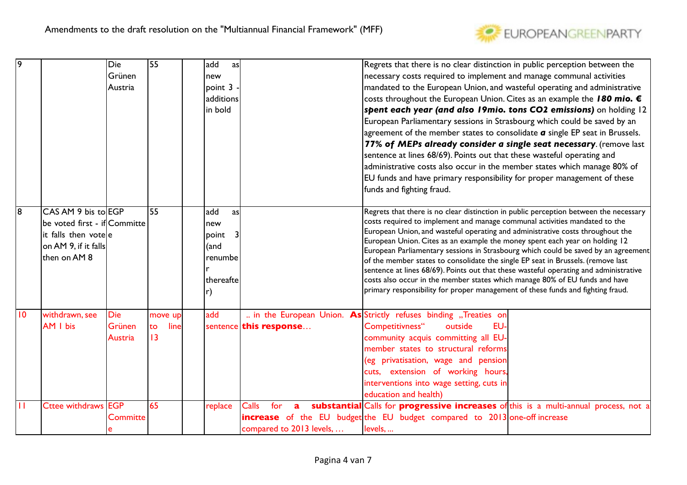

| ۱g              |                                                                                                                     | Die<br>Grünen<br>Austria        | 55                          | ladd<br>as<br>new<br> point 3 <br>additions<br>in bold      |                                                                 | Regrets that there is no clear distinction in public perception between the<br>necessary costs required to implement and manage communal activities<br>mandated to the European Union, and wasteful operating and administrative<br>costs throughout the European Union. Cites as an example the 180 mio. €<br>spent each year (and also 19mio. tons CO2 emissions) on holding 12<br>European Parliamentary sessions in Strasbourg which could be saved by an<br>agreement of the member states to consolidate $a$ single EP seat in Brussels.<br>77% of MEPs already consider a single seat necessary. (remove last<br>sentence at lines 68/69). Points out that these wasteful operating and<br>administrative costs also occur in the member states which manage 80% of<br>EU funds and have primary responsibility for proper management of these<br>funds and fighting fraud. |
|-----------------|---------------------------------------------------------------------------------------------------------------------|---------------------------------|-----------------------------|-------------------------------------------------------------|-----------------------------------------------------------------|------------------------------------------------------------------------------------------------------------------------------------------------------------------------------------------------------------------------------------------------------------------------------------------------------------------------------------------------------------------------------------------------------------------------------------------------------------------------------------------------------------------------------------------------------------------------------------------------------------------------------------------------------------------------------------------------------------------------------------------------------------------------------------------------------------------------------------------------------------------------------------|
| 18              | CAS AM 9 bis to EGP<br>be voted first - if Committe<br>it falls then votele<br>on AM 9, if it falls<br>then on AM 8 |                                 | 55                          | add<br>as<br>new<br> point<br>(and<br>renumbe<br>thereaftel |                                                                 | Regrets that there is no clear distinction in public perception between the necessary<br>costs required to implement and manage communal activities mandated to the<br>European Union, and wasteful operating and administrative costs throughout the<br>European Union. Cites as an example the money spent each year on holding 12<br>European Parliamentary sessions in Strasbourg which could be saved by an agreement<br>of the member states to consolidate the single EP seat in Brussels. (remove last<br>sentence at lines 68/69). Points out that these wasteful operating and administrative<br>costs also occur in the member states which manage 80% of EU funds and have<br>primary responsibility for proper management of these funds and fighting fraud.                                                                                                          |
| $\overline{10}$ | withdrawn, see<br>AM I bis                                                                                          | <b>Die</b><br>Grünen<br>Austria | move up<br>line<br>to<br>13 | add                                                         | sentence this response                                          | in the European Union. As Strictly refuses binding "Treaties on<br>Competitivness"<br>outside<br>EU-<br>community acquis committing all EU-<br>member states to structural reforms<br>(eg privatisation, wage and pension<br>cuts, extension of working hours,<br>interventions into wage setting, cuts in<br>education and health)                                                                                                                                                                                                                                                                                                                                                                                                                                                                                                                                                |
|                 | Cttee withdraws EGP                                                                                                 | <b>Committe</b>                 | 65                          | replace                                                     | <b>Calls</b><br>for<br>$\mathbf{a}$<br>compared to 2013 levels, | substantial Calls for progressive increases of this is a multi-annual process, not a<br>increase of the EU budget the EU budget compared to 2013 one-off increase<br>levels,                                                                                                                                                                                                                                                                                                                                                                                                                                                                                                                                                                                                                                                                                                       |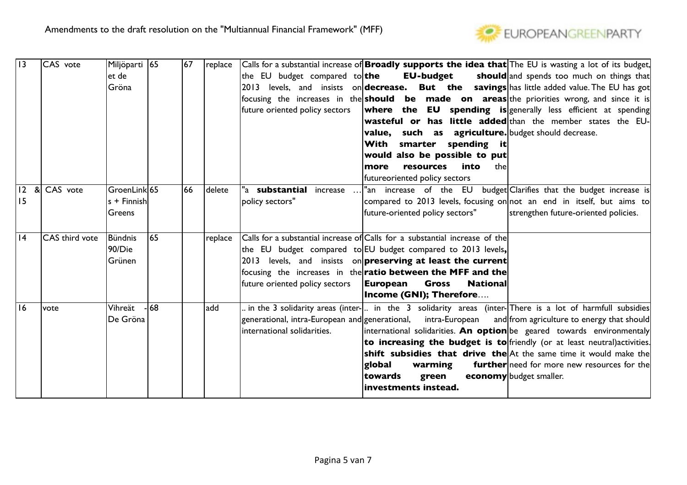

| 13 | CAS vote              | Miljöparti 165<br>let de<br>Gröna               |     | 67 | replace | the EU budget compared to ${\sf the}$<br>future oriented policy sectors | Calls for a substantial increase of <b>Broadly supports the idea that</b> The EU is wasting a lot of its budget,<br><b>EU-budget</b><br>should and spends too much on things that<br>2013 levels, and insists on <b>decrease. But the savings</b> has little added value. The EU has got<br>focusing the increases in the <b>should be made on areas</b> the priorities wrong, and since it is<br><b>where the EU spending is</b> generally less efficient at spending<br><b>wasteful or has little added</b> than the member states the EU-                                                                   |
|----|-----------------------|-------------------------------------------------|-----|----|---------|-------------------------------------------------------------------------|----------------------------------------------------------------------------------------------------------------------------------------------------------------------------------------------------------------------------------------------------------------------------------------------------------------------------------------------------------------------------------------------------------------------------------------------------------------------------------------------------------------------------------------------------------------------------------------------------------------|
|    |                       |                                                 |     |    |         |                                                                         | <b>value, such as agriculture.</b> budget should decrease.<br>With smarter spending it<br>would also be possible to put<br>resources into<br>thel<br>more<br>futureoriented policy sectors                                                                                                                                                                                                                                                                                                                                                                                                                     |
| 15 | 12 & CAS vote         | $ $ GroenLink $ $ 65<br>ls + Finnishl<br>Greens |     | 66 | delete  | "a <b>substantial</b> increase<br>policy sectors"                       | budget Clarifies that the budget increase is<br>"an increase of the EU<br>compared to 2013 levels, focusing on not an end in itself, but aims to<br>future-oriented policy sectors"<br>strengthen future-oriented policies.                                                                                                                                                                                                                                                                                                                                                                                    |
| 14 | <b>CAS</b> third vote | <b>Bündnis</b><br>90/Die<br>Grünen              | 165 |    | replace | future oriented policy sectors                                          | Calls for a substantial increase of Calls for a substantial increase of the<br>the EU budget compared to EU budget compared to 2013 levels,<br>2013 levels, and insists on preserving at least the current<br>focusing the increases in the <b>ratio between the MFF and the</b><br>European<br><b>Gross</b><br><b>National</b><br>Income (GNI); Therefore                                                                                                                                                                                                                                                     |
| 16 | vote                  | Vihreät<br>De Gröna                             | -68 |    | add     | international solidarities.                                             | in the 3 solidarity areas (inter- ) in the 3 solidarity areas (inter- There is a lot of harmfull subsidies<br>generational, intra-European and generational, intra-European<br>and from agriculture to energy that should<br>international solidarities. An option be geared towards environmentaly<br>to increasing the budget is to friendly (or at least neutral) activities.<br><b>shift subsidies that drive the</b> At the same time it would make the<br><b>further</b> need for more new resources for the<br>global<br>warming<br>economy budget smaller.<br>towards<br>green<br>investments instead. |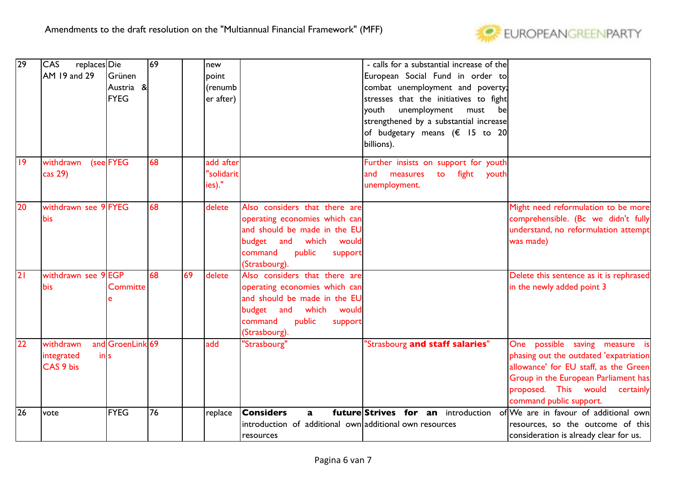

| 29 | CAS<br>replaces Die     |                  | 69 |    | new        |                                                         | - calls for a substantial increase of the |                                         |
|----|-------------------------|------------------|----|----|------------|---------------------------------------------------------|-------------------------------------------|-----------------------------------------|
|    | AM 19 and 29            | <b>Grünen</b>    |    |    | point      |                                                         | European Social Fund in order to          |                                         |
|    |                         | Austria &        |    |    | (renumb    |                                                         | combat unemployment and poverty;          |                                         |
|    |                         | <b>FYEG</b>      |    |    | er after)  |                                                         | stresses that the initiatives to fight    |                                         |
|    |                         |                  |    |    |            |                                                         | unemployment<br>youth<br>must<br>bel      |                                         |
|    |                         |                  |    |    |            |                                                         | strengthened by a substantial increase    |                                         |
|    |                         |                  |    |    |            |                                                         | of budgetary means ( $\epsilon$ 15 to 20  |                                         |
|    |                         |                  |    |    |            |                                                         | billions).                                |                                         |
|    |                         |                  |    |    |            |                                                         |                                           |                                         |
| 9  | withdrawn               | (see FYEG        | 68 |    | add after  |                                                         | Further insists on support for youth      |                                         |
|    | cas 29)                 |                  |    |    | "solidarit |                                                         | fight youth<br>measures<br>and<br>to      |                                         |
|    |                         |                  |    |    | ies)."     |                                                         | unemployment.                             |                                         |
|    |                         |                  |    |    |            |                                                         |                                           |                                         |
| 20 | withdrawn see 9 FYEG    |                  | 68 |    | delete     | Also considers that there are                           |                                           | Might need reformulation to be more     |
|    | bis                     |                  |    |    |            | operating economies which can                           |                                           | comprehensible. (Bc we didn't fully     |
|    |                         |                  |    |    |            | and should be made in the EU                            |                                           | understand, no reformulation attempt    |
|    |                         |                  |    |    |            | budget and which would                                  |                                           | was made)                               |
|    |                         |                  |    |    |            | command<br>public<br>support                            |                                           |                                         |
|    |                         |                  |    |    |            | (Strasbourg).                                           |                                           |                                         |
| 2  | withdrawn see           | 9EGP             | 68 | 69 | delete     | Also considers that there are                           |                                           | Delete this sentence as it is rephrased |
|    | bis                     | <b>Committe</b>  |    |    |            | operating economies which can                           |                                           | in the newly added point 3              |
|    |                         |                  |    |    |            | and should be made in the EU                            |                                           |                                         |
|    |                         |                  |    |    |            | budget and which would                                  |                                           |                                         |
|    |                         |                  |    |    |            | command<br>public<br>support                            |                                           |                                         |
|    |                         |                  |    |    |            | (Strasbourg).                                           |                                           |                                         |
| 22 | withdrawn               | and GroenLink 69 |    |    | add        | "Strasbourg"                                            | "Strasbourg and staff salaries"           | One possible saving measure is          |
|    | integrated<br>$\ln  s $ |                  |    |    |            |                                                         |                                           | phasing out the outdated 'expatriation  |
|    | CAS 9 bis               |                  |    |    |            |                                                         |                                           | allowance' for EU staff, as the Green   |
|    |                         |                  |    |    |            |                                                         |                                           | Group in the European Parliament has    |
|    |                         |                  |    |    |            |                                                         |                                           | proposed. This would<br>certainly       |
|    |                         |                  |    |    |            |                                                         |                                           | command public support.                 |
| 26 | vote                    | <b>FYEG</b>      | 76 |    | replace    | <b>Considers</b><br>$\mathbf{a}$                        | future Strives for an introduction        | of We are in favour of additional own   |
|    |                         |                  |    |    |            | introduction of additional own additional own resources |                                           | resources, so the outcome of this       |
|    |                         |                  |    |    |            | resources                                               |                                           | consideration is already clear for us.  |